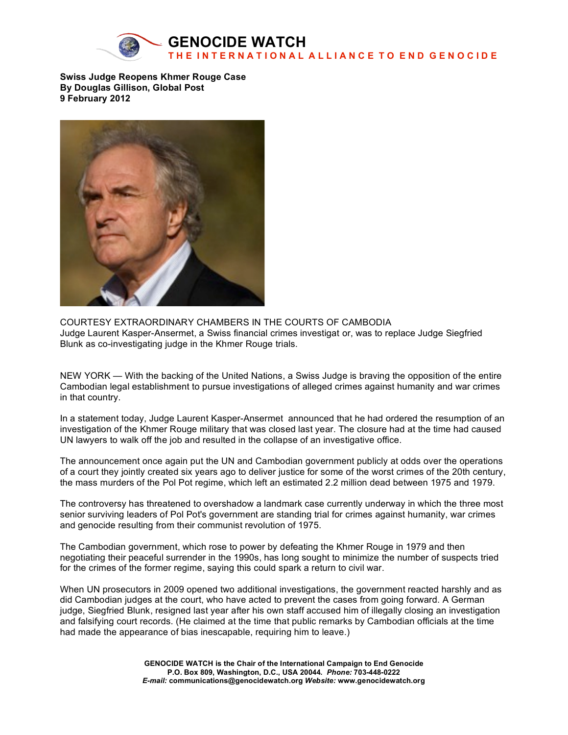

**Swiss Judge Reopens Khmer Rouge Case By Douglas Gillison, Global Post 9 February 2012**



COURTESY EXTRAORDINARY CHAMBERS IN THE COURTS OF CAMBODIA Judge Laurent Kasper-Ansermet, a Swiss financial crimes investigat or, was to replace Judge Siegfried Blunk as co-investigating judge in the Khmer Rouge trials.

NEW YORK — With the backing of the United Nations, a Swiss Judge is braving the opposition of the entire Cambodian legal establishment to pursue investigations of alleged crimes against humanity and war crimes in that country.

In a statement today, Judge Laurent Kasper-Ansermet announced that he had ordered the resumption of an investigation of the Khmer Rouge military that was closed last year. The closure had at the time had caused UN lawyers to walk off the job and resulted in the collapse of an investigative office.

The announcement once again put the UN and Cambodian government publicly at odds over the operations of a court they jointly created six years ago to deliver justice for some of the worst crimes of the 20th century, the mass murders of the Pol Pot regime, which left an estimated 2.2 million dead between 1975 and 1979.

The controversy has threatened to overshadow a landmark case currently underway in which the three most senior surviving leaders of Pol Pot's government are standing trial for crimes against humanity, war crimes and genocide resulting from their communist revolution of 1975.

The Cambodian government, which rose to power by defeating the Khmer Rouge in 1979 and then negotiating their peaceful surrender in the 1990s, has long sought to minimize the number of suspects tried for the crimes of the former regime, saying this could spark a return to civil war.

When UN prosecutors in 2009 opened two additional investigations, the government reacted harshly and as did Cambodian judges at the court, who have acted to prevent the cases from going forward. A German judge, Siegfried Blunk, resigned last year after his own staff accused him of illegally closing an investigation and falsifying court records. (He claimed at the time that public remarks by Cambodian officials at the time had made the appearance of bias inescapable, requiring him to leave.)